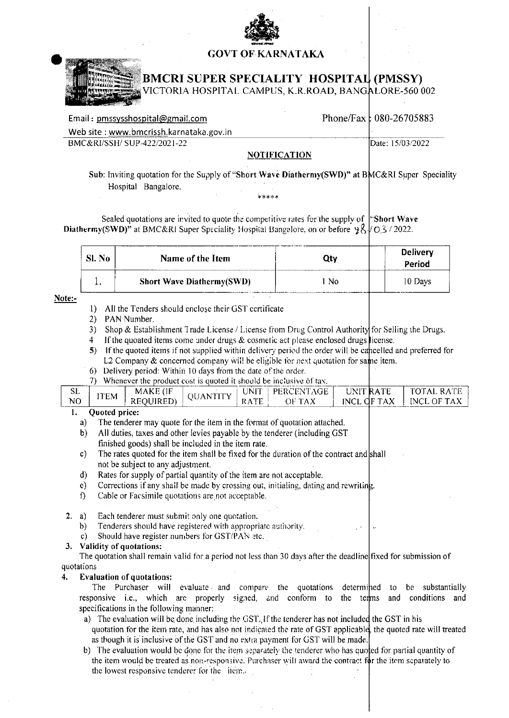## **GOVT OF KARNATAKA**



# **BMCRI SUPER SPECIALITY HOSPITAL (PMSSY)**

VICTORIA HOSPITAL CAMPUS, K.R.ROAD, BANGALORE-560002

| Phone/Fax: $080-26705883$ |
|---------------------------|
|                           |
| Date: 15/03/2022          |
|                           |

### **NOTIFICATION**

Sub: Inviting quotation for the Supply of "Short Wave Diathermy(SWD)" at BMC&RI Super Speciality Hospital Bangalore.

\*\*\*\*\*

Sealed quotations are invited to quote the competitive rates for the supply of "Short Wave" **Diathermy(SWD)**" at BMC&RI Super Speciality Hospital Bangalore, on or before  $\frac{98}{6}$  O 3/2022.

| Sl. No | Name of the Item                  | Jtv | Delivery<br>Period |
|--------|-----------------------------------|-----|--------------------|
|        | <b>Short Wave Diathermy (SWD)</b> | Nο  | 10 Days            |

### Note:-

- 1) All the Tenders should enclose their GST certificate
- 2) PAN Number.
- 3) Shop & Establishment Trade License / License from Drug Control Authority for Selling the Drugs.
- If the quoated items come under drugs  $\&$  cosmetic act please enclosed drugs license.  $4 -$
- 5) If the quoted items if not supplied within delivery period the order will be cancelled and preferred for L2 Company & concerned company will be eligible for next quotation for same item.
- 6) Delivery period: Within 10 days from the date of the order.
- 7) Whenever the product cost is quoted it should be inclusive of tax.

| <b>SL</b>      | 'TEM                           | MAKE (IF        | OUANTITY | UNIT | PERCENTAGE | UNIT RATE   | TOTAL RATE  |
|----------------|--------------------------------|-----------------|----------|------|------------|-------------|-------------|
| N <sub>O</sub> |                                | <b>REQUIRED</b> |          | RATE | OF TAX     | INCL OF TAX | INCL OF TAX |
|                | <b>Ouoted price:</b><br>------ |                 |          |      |            |             |             |

- The tenderer may quote for the item in the format of quotation attached. a)
- $b)$ All duties, taxes and other levies payable by the tenderer (including GST) finished goods) shall be included in the item rate.
- $c)$ The rates quoted for the item shall be fixed for the duration of the contract and shall not be subject to any adjustment.
- Rates for supply of partial quantity of the item are not acceptable.  $\mathbf{d}$
- Corrections if any shall be made by crossing out, initialing, dating and rewriting.  $e)$
- Cable or Facsimile quotations are not acceptable.  $\mathbf{f}$
- Each tenderer must submit only one quotation,  $2 \text{ a)}$ 
	- Tenderers should have registered with appropriate authority. b)
	- Should have register numbers for GST/PAN etc.  $c$ )

### 3. Validity of quotations:

The quotation shall remain valid for a period not less than 30 days after the deadline fixed for submission of quotations

#### **Evaluation of quotations:**  $4.$

The Purchaser will evaluate and compare the quotations determined to be substantially responsive i.e., which are properly signed, and conform to the terms and conditions and specifications in the following manner:

a) The evaluation will be done including the GST. If the tenderer has not included the GST in his quotation for the item rate, and has also not indicated the rate of GST applicable, the quoted rate will treated as though it is inclusive of the GST and no extra payment for GST will be made.

b) The evaluation would be done for the item separately the tenderer who has quoted for partial quantity of the item would be treated as non-responsive. Purchaser will award the contract for the item separately to the lowest responsive tenderer for the item.